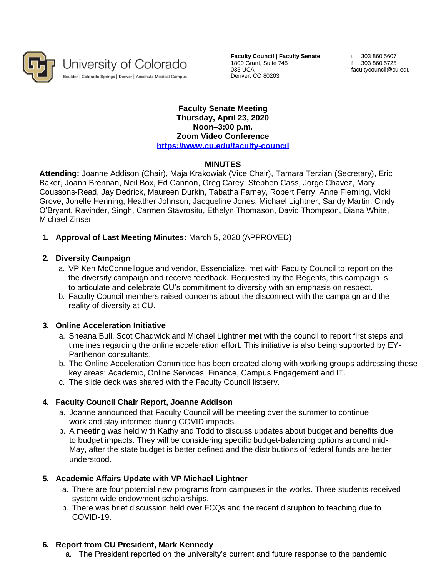

University of Colorado Boulder | Colorado Springs | Denver | Anschutz Medical Campus

**Faculty Council | Faculty Senate** 1800 Grant, Suite 745 035 UCA Denver, CO 80203

t 303 860 5607 f 303 860 5725 [facultycouncil@cu.edu](mailto:facultycouncil@cu.edu)

#### **Faculty Senate Meeting Thursday, April 23, 2020 Noon–3:00 p.m. Zoom Video Conference <https://www.cu.edu/faculty-council>**

# **MINUTES**

**Attending:** Joanne Addison (Chair), Maja Krakowiak (Vice Chair), Tamara Terzian (Secretary), Eric Baker, Joann Brennan, Neil Box, Ed Cannon, Greg Carey, Stephen Cass, Jorge Chavez, Mary Coussons-Read, Jay Dedrick, Maureen Durkin, Tabatha Farney, Robert Ferry, Anne Fleming, Vicki Grove, Jonelle Henning, Heather Johnson, Jacqueline Jones, Michael Lightner, Sandy Martin, Cindy O'Bryant, Ravinder, Singh, Carmen Stavrositu, Ethelyn Thomason, David Thompson, Diana White, Michael Zinser

### **1. Approval of Last Meeting Minutes:** March 5, 2020 (APPROVED)

### **2. Diversity Campaign**

- a. VP Ken McConnellogue and vendor, Essencialize, met with Faculty Council to report on the the diversity campaign and receive feedback. Requested by the Regents, this campaign is to articulate and celebrate CU's commitment to diversity with an emphasis on respect.
- b. Faculty Council members raised concerns about the disconnect with the campaign and the reality of diversity at CU.

### **3. Online Acceleration Initiative**

- a. Sheana Bull, Scot Chadwick and Michael Lightner met with the council to report first steps and timelines regarding the online acceleration effort. This initiative is also being supported by EY-Parthenon consultants.
- b. The Online Acceleration Committee has been created along with working groups addressing these key areas: Academic, Online Services, Finance, Campus Engagement and IT.
- c. The slide deck was shared with the Faculty Council listserv.

# **4. Faculty Council Chair Report, Joanne Addison**

- a. Joanne announced that Faculty Council will be meeting over the summer to continue work and stay informed during COVID impacts.
- b. A meeting was held with Kathy and Todd to discuss updates about budget and benefits due to budget impacts. They will be considering specific budget-balancing options around mid-May, after the state budget is better defined and the distributions of federal funds are better understood.

# **5. Academic Affairs Update with VP Michael Lightner**

- a. There are four potential new programs from campuses in the works. Three students received system wide endowment scholarships.
- b. There was brief discussion held over FCQs and the recent disruption to teaching due to COVID-19.

### **6. Report from CU President, Mark Kennedy**

a. The President reported on the university's current and future response to the pandemic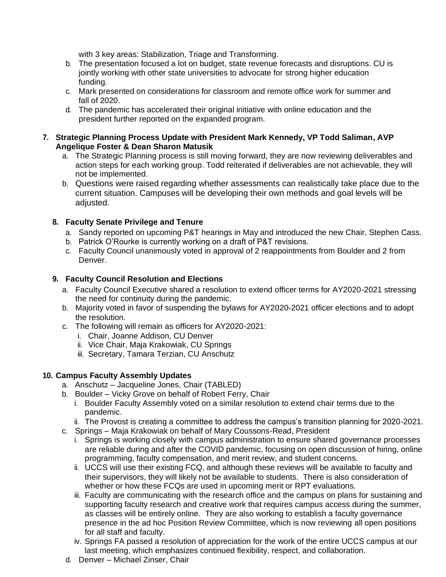with 3 key areas: Stabilization, Triage and Transforming.

- b. The presentation focused a lot on budget, state revenue forecasts and disruptions. CU is jointly working with other state universities to advocate for strong higher education funding.
- c. Mark presented on considerations for classroom and remote office work for summer and fall of 2020.
- d. The pandemic has accelerated their original initiative with online education and the president further reported on the expanded program.

### **7. Strategic Planning Process Update with President Mark Kennedy, VP Todd Saliman, AVP Angelique Foster & Dean Sharon Matusik**

- a. The Strategic Planning process is still moving forward, they are now reviewing deliverables and action steps for each working group. Todd reiterated if deliverables are not achievable, they will not be implemented.
- b. Questions were raised regarding whether assessments can realistically take place due to the current situation. Campuses will be developing their own methods and goal levels will be adjusted.

# **8. Faculty Senate Privilege and Tenure**

- a. Sandy reported on upcoming P&T hearings in May and introduced the new Chair, Stephen Cass.
- b. Patrick O'Rourke is currently working on a draft of P&T revisions.
- c. Faculty Council unanimously voted in approval of 2 reappointments from Boulder and 2 from Denver.

# **9. Faculty Council Resolution and Elections**

- a. Faculty Council Executive shared a resolution to extend officer terms for AY2020-2021 stressing the need for continuity during the pandemic.
- b. Majority voted in favor of suspending the bylaws for AY2020-2021 officer elections and to adopt the resolution.
- c. The following will remain as officers for AY2020-2021:
	- i. Chair, Joanne Addison, CU Denver
	- ii. Vice Chair, Maja Krakowiak, CU Springs
	- iii. Secretary, Tamara Terzian, CU Anschutz

# **10. Campus Faculty Assembly Updates**

- a. Anschutz Jacqueline Jones, Chair (TABLED)
- b. Boulder Vicky Grove on behalf of Robert Ferry, Chair
	- i. Boulder Faculty Assembly voted on a similar resolution to extend chair terms due to the pandemic.
	- ii. The Provost is creating a committee to address the campus's transition planning for 2020-2021.
- c. Springs Maja Krakowiak on behalf of Mary Coussons-Read, President
	- i. Springs is working closely with campus administration to ensure shared governance processes are reliable during and after the COVID pandemic, focusing on open discussion of hiring, online programming, faculty compensation, and merit review, and student concerns.
	- ii. UCCS will use their existing FCQ, and although these reviews will be available to faculty and their supervisors, they will likely not be available to students. There is also consideration of whether or how these FCQs are used in upcoming merit or RPT evaluations.
	- iii. Faculty are communicating with the research office and the campus on plans for sustaining and supporting faculty research and creative work that requires campus access during the summer, as classes will be entirely online. They are also working to establish a faculty governance presence in the ad hoc Position Review Committee, which is now reviewing all open positions for all staff and faculty.
	- iv. Springs FA passed a resolution of appreciation for the work of the entire UCCS campus at our last meeting, which emphasizes continued flexibility, respect, and collaboration.
- d. Denver Michael Zinser, Chair